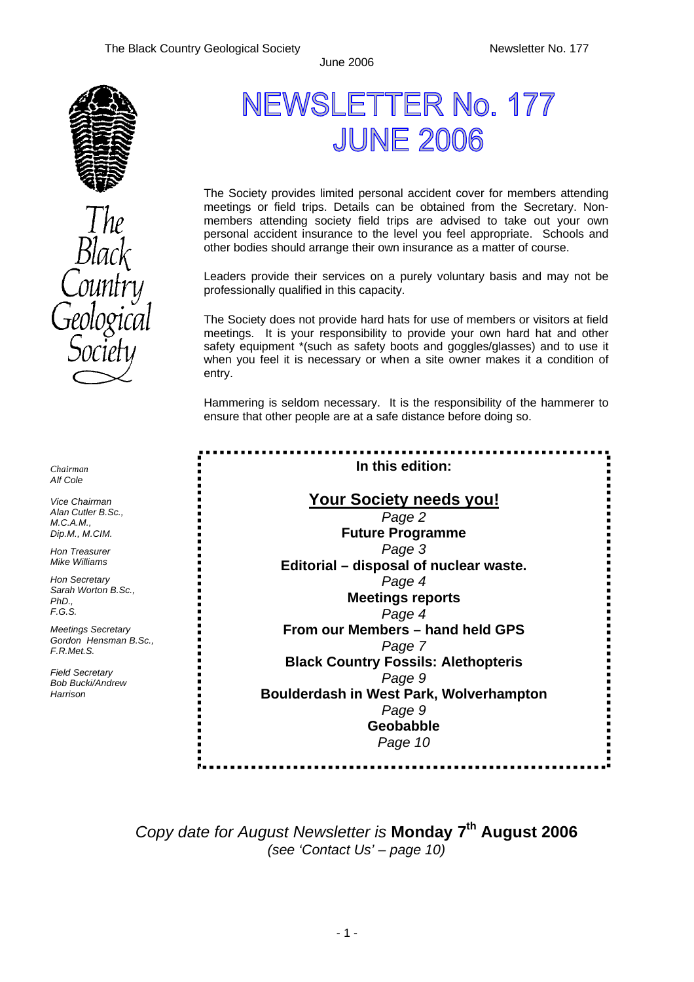

*Chairman Alf Cole*

*Vice Chairman Alan Cutler B.Sc., M.C.A.M., Dip.M., M.CIM.*

*Hon Treasurer Mike Williams* 

*Hon Secretary Sarah Worton B.Sc., PhD., F.G.S.*

*Meetings Secretary* Gordon Hensman B *F.R.Met.S.*

*Field Secretary Bob Bucki/Andrew Harrison*

# NEWSLETTER No. 177 **JUNE 2006**

The Society provides limited personal accident cover for members attending meetings or field trips. Details can be obtained from the Secretary. Nonmembers attending society field trips are advised to take out your own personal accident insurance to the level you feel appropriate. Schools and other bodies should arrange their own insurance as a matter of course.

Leaders provide their services on a purely voluntary basis and may not be professionally qualified in this capacity.

The Society does not provide hard hats for use of members or visitors at field meetings. It is your responsibility to provide your own hard hat and other safety equipment \*(such as safety boots and goggles/glasses) and to use it when you feel it is necessary or when a site owner makes it a condition of entry.

Hammering is seldom necessary. It is the responsibility of the hammerer to ensure that other people are at a safe distance before doing so.

|          | In this edition:<br><b>Your Society needs you!</b> |  |
|----------|----------------------------------------------------|--|
|          |                                                    |  |
|          | Page 2                                             |  |
|          | <b>Future Programme</b>                            |  |
|          | Page 3                                             |  |
|          | Editorial - disposal of nuclear waste.             |  |
|          | Page 4                                             |  |
|          | <b>Meetings reports</b>                            |  |
|          | Page 4                                             |  |
|          | From our Members - hand held GPS                   |  |
| 3. Sc. , | Page 7                                             |  |
|          | <b>Black Country Fossils: Alethopteris</b>         |  |
|          | Page 9                                             |  |
|          | Boulderdash in West Park, Wolverhampton            |  |
|          | Page 9                                             |  |
|          | Geobabble                                          |  |
|          | Page 10                                            |  |
|          |                                                    |  |

*Copy date for August Newsletter is* **Monday 7th August 2006**  *(see 'Contact Us' – page 10)*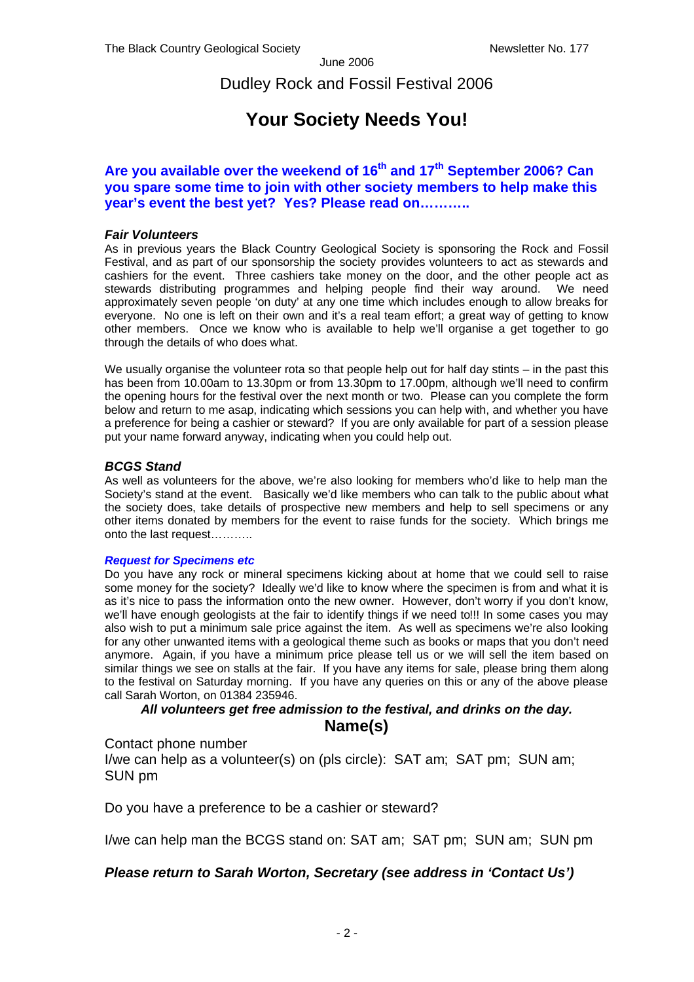Dudley Rock and Fossil Festival 2006

### **Your Society Needs You!**

### **Are you available over the weekend of 16th and 17th September 2006? Can you spare some time to join with other society members to help make this year's event the best yet? Yes? Please read on………..**

#### *Fair Volunteers*

As in previous years the Black Country Geological Society is sponsoring the Rock and Fossil Festival, and as part of our sponsorship the society provides volunteers to act as stewards and cashiers for the event. Three cashiers take money on the door, and the other people act as stewards distributing programmes and helping people find their way around. We need approximately seven people 'on duty' at any one time which includes enough to allow breaks for everyone. No one is left on their own and it's a real team effort; a great way of getting to know other members. Once we know who is available to help we'll organise a get together to go through the details of who does what.

We usually organise the volunteer rota so that people help out for half day stints – in the past this has been from 10.00am to 13.30pm or from 13.30pm to 17.00pm, although we'll need to confirm the opening hours for the festival over the next month or two. Please can you complete the form below and return to me asap, indicating which sessions you can help with, and whether you have a preference for being a cashier or steward? If you are only available for part of a session please put your name forward anyway, indicating when you could help out.

### *BCGS Stand*

As well as volunteers for the above, we're also looking for members who'd like to help man the Society's stand at the event. Basically we'd like members who can talk to the public about what the society does, take details of prospective new members and help to sell specimens or any other items donated by members for the event to raise funds for the society. Which brings me onto the last request………..

#### *Request for Specimens etc*

Do you have any rock or mineral specimens kicking about at home that we could sell to raise some money for the society? Ideally we'd like to know where the specimen is from and what it is as it's nice to pass the information onto the new owner. However, don't worry if you don't know, we'll have enough geologists at the fair to identify things if we need to!!! In some cases you may also wish to put a minimum sale price against the item. As well as specimens we're also looking for any other unwanted items with a geological theme such as books or maps that you don't need anymore. Again, if you have a minimum price please tell us or we will sell the item based on similar things we see on stalls at the fair. If you have any items for sale, please bring them along to the festival on Saturday morning. If you have any queries on this or any of the above please call Sarah Worton, on 01384 235946.

### *All volunteers get free admission to the festival, and drinks on the day.* **Name(s)**

Contact phone number

I/we can help as a volunteer(s) on (pls circle): SAT am; SAT pm; SUN am; SUN pm

Do you have a preference to be a cashier or steward?

I/we can help man the BCGS stand on: SAT am; SAT pm; SUN am; SUN pm

### *Please return to Sarah Worton, Secretary (see address in 'Contact Us')*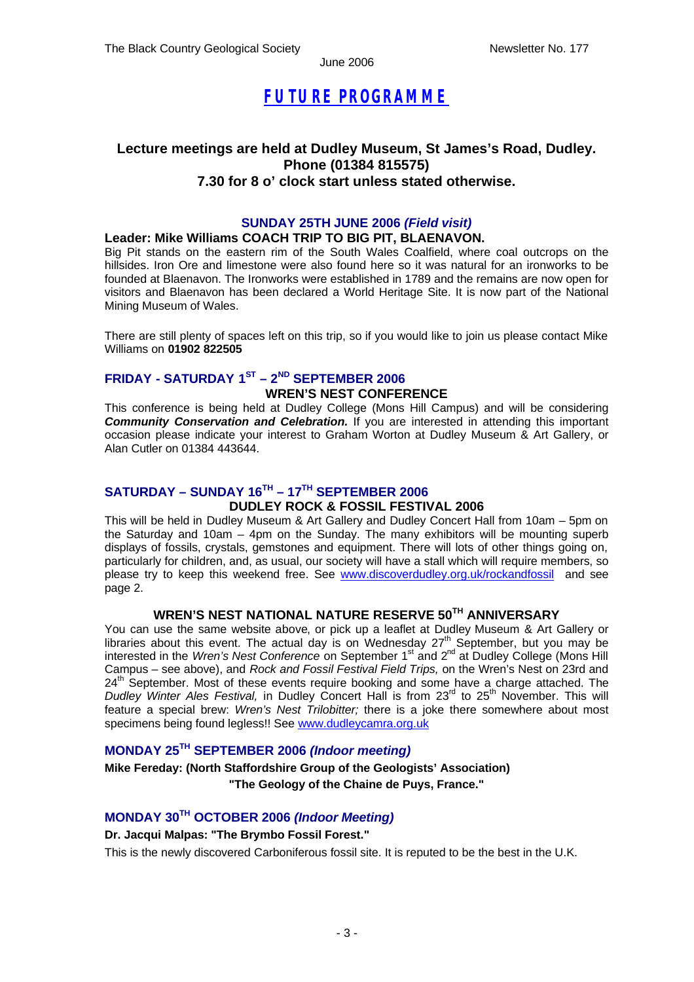### *FUTURE PROGRAMME*

### **Lecture meetings are held at Dudley Museum, St James's Road, Dudley. Phone (01384 815575) 7.30 for 8 o' clock start unless stated otherwise.**

### **SUNDAY 25TH JUNE 2006** *(Field visit)*

### **Leader: Mike Williams COACH TRIP TO BIG PIT, BLAENAVON.**

Big Pit stands on the eastern rim of the South Wales Coalfield, where coal outcrops on the hillsides. Iron Ore and limestone were also found here so it was natural for an ironworks to be founded at Blaenavon. The Ironworks were established in 1789 and the remains are now open for visitors and Blaenavon has been declared a World Heritage Site. It is now part of the National Mining Museum of Wales.

There are still plenty of spaces left on this trip, so if you would like to join us please contact Mike Williams on **01902 822505**

### **FRIDAY - SATURDAY 1ST – 2ND SEPTEMBER 2006**

### **WREN'S NEST CONFERENCE**

This conference is being held at Dudley College (Mons Hill Campus) and will be considering *Community Conservation and Celebration.* If you are interested in attending this important occasion please indicate your interest to Graham Worton at Dudley Museum & Art Gallery, or Alan Cutler on 01384 443644.

### **SATURDAY – SUNDAY 16TH – 17TH SEPTEMBER 2006 DUDLEY ROCK & FOSSIL FESTIVAL 2006**

This will be held in Dudley Museum & Art Gallery and Dudley Concert Hall from 10am – 5pm on the Saturday and 10am – 4pm on the Sunday. The many exhibitors will be mounting superb displays of fossils, crystals, gemstones and equipment. There will lots of other things going on, particularly for children, and, as usual, our society will have a stall which will require members, so please try to keep this weekend free. See www.discoverdudley.org.uk/rockandfossil and see page 2.

### **WREN'S NEST NATIONAL NATURE RESERVE 50TH ANNIVERSARY**

You can use the same website above, or pick up a leaflet at Dudley Museum & Art Gallery or libraries about this event. The actual day is on Wednesday  $27<sup>th</sup>$  September, but you may be interested in the *Wren's Nest Conference* on September 1st and 2nd at Dudley College (Mons Hill Campus – see above), and *Rock and Fossil Festival Field Trips,* on the Wren's Nest on 23rd and 24<sup>th</sup> September. Most of these events require booking and some have a charge attached. The *Dudley Winter Ales Festival,* in Dudley Concert Hall is from 23rd to 25th November. This will feature a special brew: *Wren's Nest Trilobitter;* there is a joke there somewhere about most specimens being found legless!! See www.dudleycamra.org.uk

### **MONDAY 25TH SEPTEMBER 2006** *(Indoor meeting)*

### **Mike Fereday: (North Staffordshire Group of the Geologists' Association) "The Geology of the Chaine de Puys, France."**

### **MONDAY 30TH OCTOBER 2006** *(Indoor Meeting)*

### **Dr. Jacqui Malpas: "The Brymbo Fossil Forest."**

This is the newly discovered Carboniferous fossil site. It is reputed to be the best in the U.K.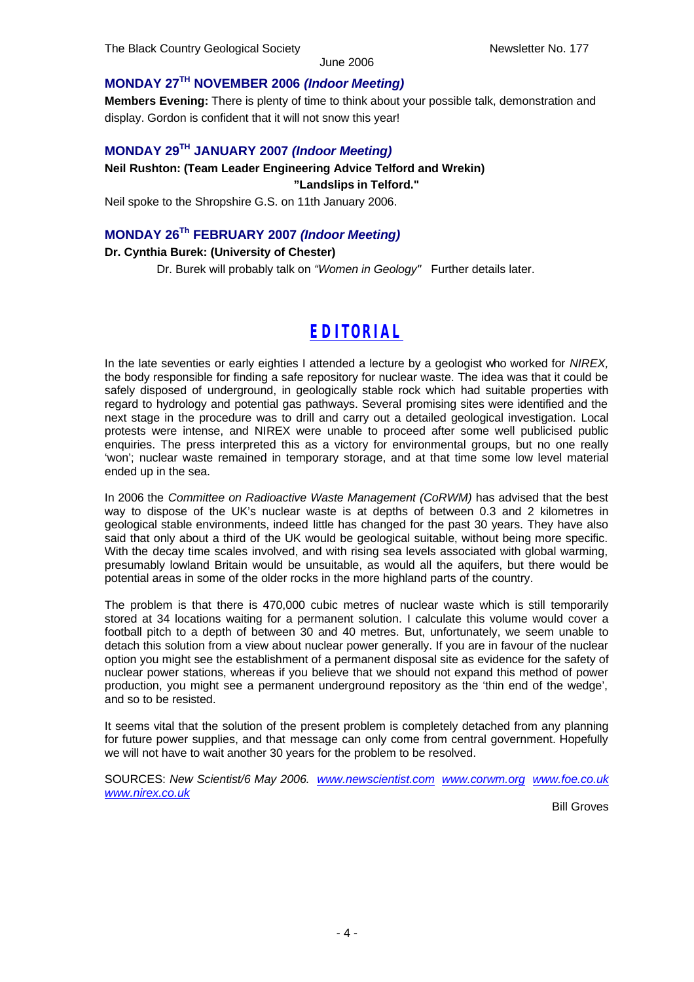### **MONDAY 27TH NOVEMBER 2006** *(Indoor Meeting)*

**Members Evening:** There is plenty of time to think about your possible talk, demonstration and display. Gordon is confident that it will not snow this year!

### **MONDAY 29TH JANUARY 2007** *(Indoor Meeting)*

### **Neil Rushton: (Team Leader Engineering Advice Telford and Wrekin) "Landslips in Telford."**

Neil spoke to the Shropshire G.S. on 11th January 2006.

### **MONDAY 26Th FEBRUARY 2007** *(Indoor Meeting)*

### **Dr. Cynthia Burek: (University of Chester)**

Dr. Burek will probably talk on *"Women in Geology"* Further details later.

### *EDITORIAL*

In the late seventies or early eighties I attended a lecture by a geologist who worked for *NIREX*. the body responsible for finding a safe repository for nuclear waste. The idea was that it could be safely disposed of underground, in geologically stable rock which had suitable properties with regard to hydrology and potential gas pathways. Several promising sites were identified and the next stage in the procedure was to drill and carry out a detailed geological investigation. Local protests were intense, and NIREX were unable to proceed after some well publicised public enquiries. The press interpreted this as a victory for environmental groups, but no one really 'won'; nuclear waste remained in temporary storage, and at that time some low level material ended up in the sea.

In 2006 the *Committee on Radioactive Waste Management (CoRWM)* has advised that the best way to dispose of the UK's nuclear waste is at depths of between 0.3 and 2 kilometres in geological stable environments, indeed little has changed for the past 30 years. They have also said that only about a third of the UK would be geological suitable, without being more specific. With the decay time scales involved, and with rising sea levels associated with global warming, presumably lowland Britain would be unsuitable, as would all the aquifers, but there would be potential areas in some of the older rocks in the more highland parts of the country.

The problem is that there is 470,000 cubic metres of nuclear waste which is still temporarily stored at 34 locations waiting for a permanent solution. I calculate this volume would cover a football pitch to a depth of between 30 and 40 metres. But, unfortunately, we seem unable to detach this solution from a view about nuclear power generally. If you are in favour of the nuclear option you might see the establishment of a permanent disposal site as evidence for the safety of nuclear power stations, whereas if you believe that we should not expand this method of power production, you might see a permanent underground repository as the 'thin end of the wedge', and so to be resisted.

It seems vital that the solution of the present problem is completely detached from any planning for future power supplies, and that message can only come from central government. Hopefully we will not have to wait another 30 years for the problem to be resolved.

SOURCES: *New Scientist/6 May 2006. www.newscientist.com www.corwm.org www.foe.co.uk www.nirex.co.uk*

Bill Groves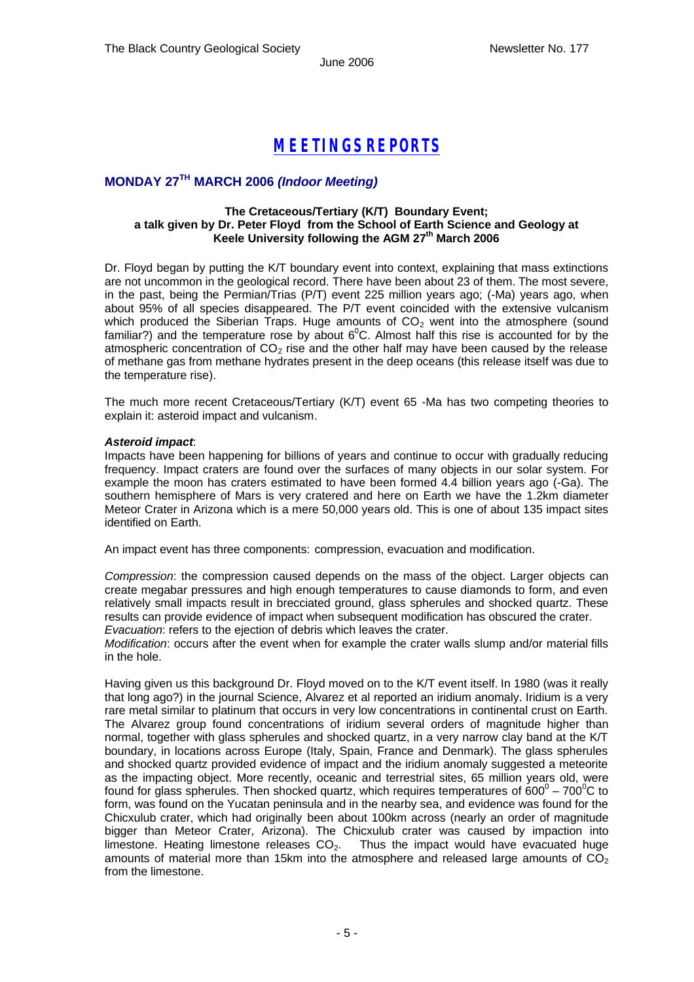### *MEETINGS REPORTS*

### **MONDAY 27TH MARCH 2006** *(Indoor Meeting)*

#### **The Cretaceous/Tertiary (K/T) Boundary Event; a talk given by Dr. Peter Floyd from the School of Earth Science and Geology at Keele University following the AGM 27th March 2006**

Dr. Floyd began by putting the K/T boundary event into context, explaining that mass extinctions are not uncommon in the geological record. There have been about 23 of them. The most severe, in the past, being the Permian/Trias (P/T) event 225 million years ago; (-Ma) years ago, when about 95% of all species disappeared. The P/T event coincided with the extensive vulcanism which produced the Siberian Traps. Huge amounts of  $CO<sub>2</sub>$  went into the atmosphere (sound familiar?) and the temperature rose by about  $6^{\circ}$ C. Almost half this rise is accounted for by the atmospheric concentration of  $CO<sub>2</sub>$  rise and the other half may have been caused by the release of methane gas from methane hydrates present in the deep oceans (this release itself was due to the temperature rise).

The much more recent Cretaceous/Tertiary (K/T) event 65 -Ma has two competing theories to explain it: asteroid impact and vulcanism.

#### *Asteroid impact*:

Impacts have been happening for billions of years and continue to occur with gradually reducing frequency. Impact craters are found over the surfaces of many objects in our solar system. For example the moon has craters estimated to have been formed 4.4 billion years ago (-Ga). The southern hemisphere of Mars is very cratered and here on Earth we have the 1.2km diameter Meteor Crater in Arizona which is a mere 50,000 years old. This is one of about 135 impact sites identified on Earth.

An impact event has three components: compression, evacuation and modification.

*Compression*: the compression caused depends on the mass of the object. Larger objects can create megabar pressures and high enough temperatures to cause diamonds to form, and even relatively small impacts result in brecciated ground, glass spherules and shocked quartz. These results can provide evidence of impact when subsequent modification has obscured the crater. *Evacuation*: refers to the ejection of debris which leaves the crater.

*Modification*: occurs after the event when for example the crater walls slump and/or material fills in the hole.

Having given us this background Dr. Floyd moved on to the K/T event itself. In 1980 (was it really that long ago?) in the journal Science, Alvarez et al reported an iridium anomaly. Iridium is a very rare metal similar to platinum that occurs in very low concentrations in continental crust on Earth. The Alvarez group found concentrations of iridium several orders of magnitude higher than normal, together with glass spherules and shocked quartz, in a very narrow clay band at the K/T boundary, in locations across Europe (Italy, Spain, France and Denmark). The glass spherules and shocked quartz provided evidence of impact and the iridium anomaly suggested a meteorite as the impacting object. More recently, oceanic and terrestrial sites, 65 million years old, were found for glass spherules. Then shocked quartz, which requires temperatures of  $600^{\circ}$  – 700 $^{\circ}$ C to form, was found on the Yucatan peninsula and in the nearby sea, and evidence was found for the Chicxulub crater, which had originally been about 100km across (nearly an order of magnitude bigger than Meteor Crater, Arizona). The Chicxulub crater was caused by impaction into limestone. Heating limestone releases  $CO<sub>2</sub>$ . Thus the impact would have evacuated huge amounts of material more than 15km into the atmosphere and released large amounts of  $CO<sub>2</sub>$ from the limestone.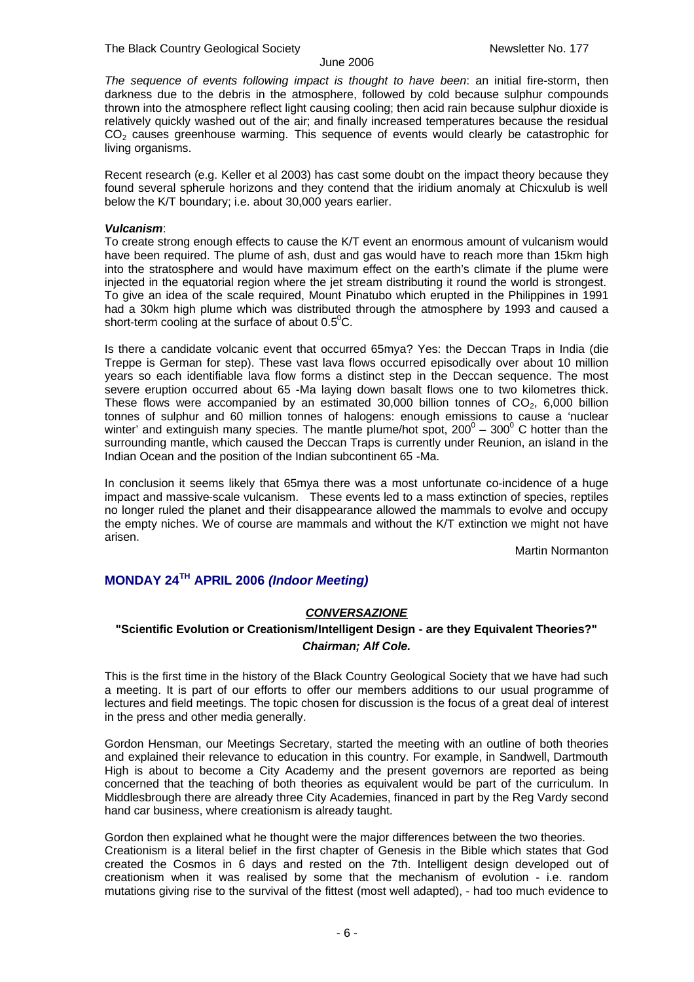*The sequence of events following impact is thought to have been*: an initial fire-storm, then darkness due to the debris in the atmosphere, followed by cold because sulphur compounds thrown into the atmosphere reflect light causing cooling; then acid rain because sulphur dioxide is relatively quickly washed out of the air; and finally increased temperatures because the residual CO<sub>2</sub> causes greenhouse warming. This sequence of events would clearly be catastrophic for living organisms.

Recent research (e.g. Keller et al 2003) has cast some doubt on the impact theory because they found several spherule horizons and they contend that the iridium anomaly at Chicxulub is well below the K/T boundary; i.e. about 30,000 years earlier.

#### *Vulcanism*:

To create strong enough effects to cause the K/T event an enormous amount of vulcanism would have been required. The plume of ash, dust and gas would have to reach more than 15km high into the stratosphere and would have maximum effect on the earth's climate if the plume were injected in the equatorial region where the jet stream distributing it round the world is strongest. To give an idea of the scale required, Mount Pinatubo which erupted in the Philippines in 1991 had a 30km high plume which was distributed through the atmosphere by 1993 and caused a short-term cooling at the surface of about  $0.5^{\circ}$ C.

Is there a candidate volcanic event that occurred 65mya? Yes: the Deccan Traps in India (die Treppe is German for step). These vast lava flows occurred episodically over about 10 million years so each identifiable lava flow forms a distinct step in the Deccan sequence. The most severe eruption occurred about 65 -Ma laying down basalt flows one to two kilometres thick. These flows were accompanied by an estimated  $30,000$  billion tonnes of  $CO<sub>2</sub>$ , 6,000 billion tonnes of sulphur and 60 million tonnes of halogens: enough emissions to cause a 'nuclear winter' and extinguish many species. The mantle plume/hot spot,  $200^{\circ}$  –  $300^{\circ}$  C hotter than the surrounding mantle, which caused the Deccan Traps is currently under Reunion, an island in the Indian Ocean and the position of the Indian subcontinent 65 -Ma.

In conclusion it seems likely that 65mya there was a most unfortunate co-incidence of a huge impact and massive-scale vulcanism. These events led to a mass extinction of species, reptiles no longer ruled the planet and their disappearance allowed the mammals to evolve and occupy the empty niches. We of course are mammals and without the K/T extinction we might not have arisen.

Martin Normanton

### **MONDAY 24TH APRIL 2006** *(Indoor Meeting)*

### *CONVERSAZIONE*

### **"Scientific Evolution or Creationism/Intelligent Design - are they Equivalent Theories?"** *Chairman; Alf Cole.*

This is the first time in the history of the Black Country Geological Society that we have had such a meeting. It is part of our efforts to offer our members additions to our usual programme of lectures and field meetings. The topic chosen for discussion is the focus of a great deal of interest in the press and other media generally.

Gordon Hensman, our Meetings Secretary, started the meeting with an outline of both theories and explained their relevance to education in this country. For example, in Sandwell, Dartmouth High is about to become a City Academy and the present governors are reported as being concerned that the teaching of both theories as equivalent would be part of the curriculum. In Middlesbrough there are already three City Academies, financed in part by the Reg Vardy second hand car business, where creationism is already taught.

Gordon then explained what he thought were the major differences between the two theories. Creationism is a literal belief in the first chapter of Genesis in the Bible which states that God created the Cosmos in 6 days and rested on the 7th. Intelligent design developed out of creationism when it was realised by some that the mechanism of evolution - i.e. random mutations giving rise to the survival of the fittest (most well adapted), - had too much evidence to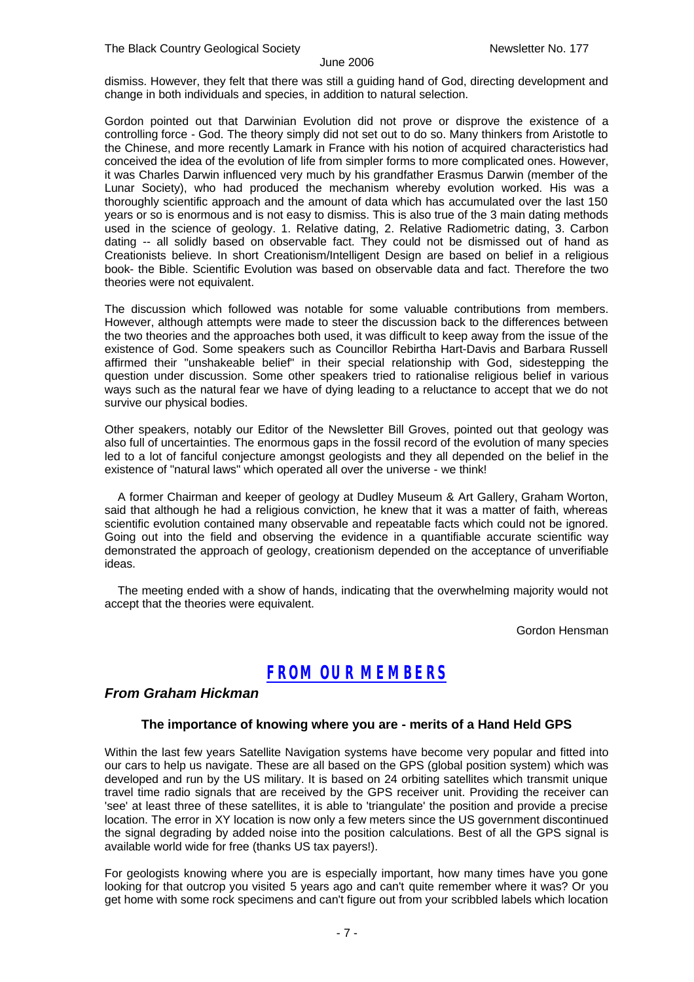dismiss. However, they felt that there was still a guiding hand of God, directing development and change in both individuals and species, in addition to natural selection.

Gordon pointed out that Darwinian Evolution did not prove or disprove the existence of a controlling force - God. The theory simply did not set out to do so. Many thinkers from Aristotle to the Chinese, and more recently Lamark in France with his notion of acquired characteristics had conceived the idea of the evolution of life from simpler forms to more complicated ones. However, it was Charles Darwin influenced very much by his grandfather Erasmus Darwin (member of the Lunar Society), who had produced the mechanism whereby evolution worked. His was a thoroughly scientific approach and the amount of data which has accumulated over the last 150 years or so is enormous and is not easy to dismiss. This is also true of the 3 main dating methods used in the science of geology. 1. Relative dating, 2. Relative Radiometric dating, 3. Carbon dating -- all solidly based on observable fact. They could not be dismissed out of hand as Creationists believe. In short Creationism/Intelligent Design are based on belief in a religious book- the Bible. Scientific Evolution was based on observable data and fact. Therefore the two theories were not equivalent.

The discussion which followed was notable for some valuable contributions from members. However, although attempts were made to steer the discussion back to the differences between the two theories and the approaches both used, it was difficult to keep away from the issue of the existence of God. Some speakers such as Councillor Rebirtha Hart-Davis and Barbara Russell affirmed their "unshakeable belief" in their special relationship with God, sidestepping the question under discussion. Some other speakers tried to rationalise religious belief in various ways such as the natural fear we have of dying leading to a reluctance to accept that we do not survive our physical bodies.

Other speakers, notably our Editor of the Newsletter Bill Groves, pointed out that geology was also full of uncertainties. The enormous gaps in the fossil record of the evolution of many species led to a lot of fanciful conjecture amongst geologists and they all depended on the belief in the existence of "natural laws" which operated all over the universe - we think!

 A former Chairman and keeper of geology at Dudley Museum & Art Gallery, Graham Worton, said that although he had a religious conviction, he knew that it was a matter of faith, whereas scientific evolution contained many observable and repeatable facts which could not be ignored. Going out into the field and observing the evidence in a quantifiable accurate scientific way demonstrated the approach of geology, creationism depended on the acceptance of unverifiable ideas.

 The meeting ended with a show of hands, indicating that the overwhelming majority would not accept that the theories were equivalent.

Gordon Hensman

### *FROM OUR MEMBERS*

### *From Graham Hickman*

### **The importance of knowing where you are - merits of a Hand Held GPS**

Within the last few years Satellite Navigation systems have become very popular and fitted into our cars to help us navigate. These are all based on the GPS (global position system) which was developed and run by the US military. It is based on 24 orbiting satellites which transmit unique travel time radio signals that are received by the GPS receiver unit. Providing the receiver can 'see' at least three of these satellites, it is able to 'triangulate' the position and provide a precise location. The error in XY location is now only a few meters since the US government discontinued the signal degrading by added noise into the position calculations. Best of all the GPS signal is available world wide for free (thanks US tax payers!).

For geologists knowing where you are is especially important, how many times have you gone looking for that outcrop you visited 5 years ago and can't quite remember where it was? Or you get home with some rock specimens and can't figure out from your scribbled labels which location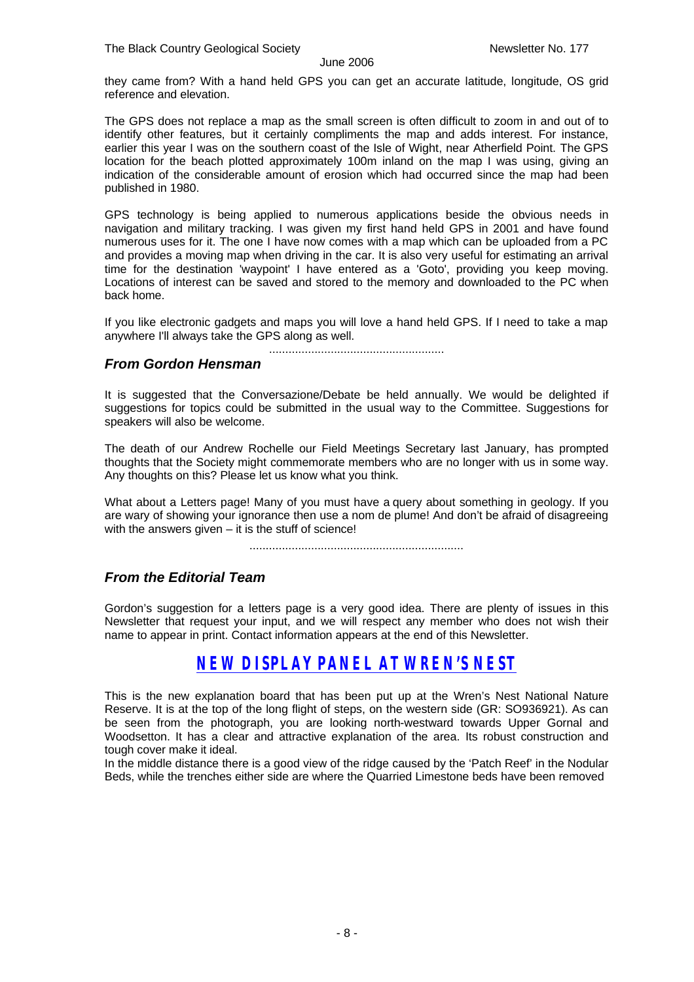they came from? With a hand held GPS you can get an accurate latitude, longitude, OS grid reference and elevation.

The GPS does not replace a map as the small screen is often difficult to zoom in and out of to identify other features, but it certainly compliments the map and adds interest. For instance, earlier this year I was on the southern coast of the Isle of Wight, near Atherfield Point. The GPS location for the beach plotted approximately 100m inland on the map I was using, giving an indication of the considerable amount of erosion which had occurred since the map had been published in 1980.

GPS technology is being applied to numerous applications beside the obvious needs in navigation and military tracking. I was given my first hand held GPS in 2001 and have found numerous uses for it. The one I have now comes with a map which can be uploaded from a PC and provides a moving map when driving in the car. It is also very useful for estimating an arrival time for the destination 'waypoint' I have entered as a 'Goto', providing you keep moving. Locations of interest can be saved and stored to the memory and downloaded to the PC when back home.

If you like electronic gadgets and maps you will love a hand held GPS. If I need to take a map anywhere I'll always take the GPS along as well.

......................................................

### *From Gordon Hensman*

It is suggested that the Conversazione/Debate be held annually. We would be delighted if suggestions for topics could be submitted in the usual way to the Committee. Suggestions for speakers will also be welcome.

The death of our Andrew Rochelle our Field Meetings Secretary last January, has prompted thoughts that the Society might commemorate members who are no longer with us in some way. Any thoughts on this? Please let us know what you think.

What about a Letters page! Many of you must have a query about something in geology. If you are wary of showing your ignorance then use a nom de plume! And don't be afraid of disagreeing with the answers given  $-$  it is the stuff of science!

..................................................................

### *From the Editorial Team*

Gordon's suggestion for a letters page is a very good idea. There are plenty of issues in this Newsletter that request your input, and we will respect any member who does not wish their name to appear in print. Contact information appears at the end of this Newsletter.

### *NEW DISPLAY PANEL AT WREN'S NEST*

This is the new explanation board that has been put up at the Wren's Nest National Nature Reserve. It is at the top of the long flight of steps, on the western side (GR: SO936921). As can be seen from the photograph, you are looking north-westward towards Upper Gornal and Woodsetton. It has a clear and attractive explanation of the area. Its robust construction and tough cover make it ideal.

In the middle distance there is a good view of the ridge caused by the 'Patch Reef' in the Nodular Beds, while the trenches either side are where the Quarried Limestone beds have been removed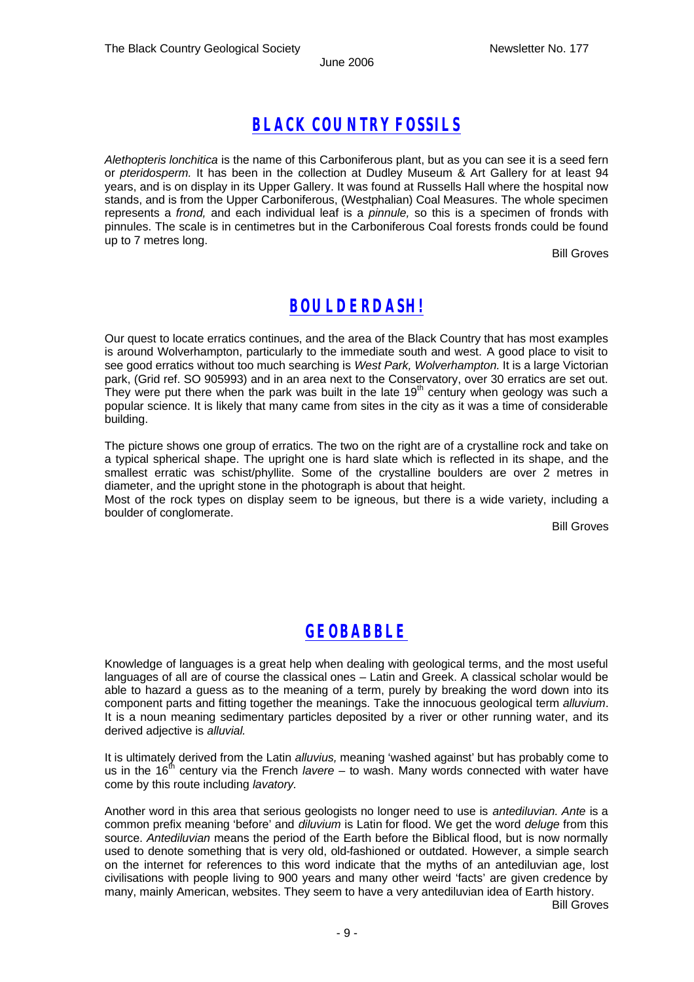### *BLACK COUNTRY FOSSILS*

*Alethopteris lonchitica* is the name of this Carboniferous plant, but as you can see it is a seed fern or *pteridosperm.* It has been in the collection at Dudley Museum & Art Gallery for at least 94 years, and is on display in its Upper Gallery. It was found at Russells Hall where the hospital now stands, and is from the Upper Carboniferous, (Westphalian) Coal Measures. The whole specimen represents a *frond,* and each individual leaf is a *pinnule,* so this is a specimen of fronds with pinnules. The scale is in centimetres but in the Carboniferous Coal forests fronds could be found up to 7 metres long.

Bill Groves

### *BOULDERDASH!*

Our quest to locate erratics continues, and the area of the Black Country that has most examples is around Wolverhampton, particularly to the immediate south and west. A good place to visit to see good erratics without too much searching is *West Park, Wolverhampton.* It is a large Victorian park, (Grid ref. SO 905993) and in an area next to the Conservatory, over 30 erratics are set out. They were put there when the park was built in the late 19<sup>th</sup> century when geology was such a popular science. It is likely that many came from sites in the city as it was a time of considerable building.

The picture shows one group of erratics. The two on the right are of a crystalline rock and take on a typical spherical shape. The upright one is hard slate which is reflected in its shape, and the smallest erratic was schist/phyllite. Some of the crystalline boulders are over 2 metres in diameter, and the upright stone in the photograph is about that height.

Most of the rock types on display seem to be igneous, but there is a wide variety, including a boulder of conglomerate.

Bill Groves

### *GEOBABBLE*

Knowledge of languages is a great help when dealing with geological terms, and the most useful languages of all are of course the classical ones – Latin and Greek. A classical scholar would be able to hazard a guess as to the meaning of a term, purely by breaking the word down into its component parts and fitting together the meanings. Take the innocuous geological term *alluvium*. It is a noun meaning sedimentary particles deposited by a river or other running water, and its derived adjective is *alluvial.* 

It is ultimately derived from the Latin *alluvius,* meaning 'washed against' but has probably come to us in the 16<sup>th</sup> century via the French *lavere* – to wash. Many words connected with water have come by this route including *lavatory.* 

Another word in this area that serious geologists no longer need to use is *antediluvian. Ante* is a common prefix meaning 'before' and *diluvium* is Latin for flood. We get the word *deluge* from this source. *Antediluvian* means the period of the Earth before the Biblical flood, but is now normally used to denote something that is very old, old-fashioned or outdated. However, a simple search on the internet for references to this word indicate that the myths of an antediluvian age, lost civilisations with people living to 900 years and many other weird 'facts' are given credence by many, mainly American, websites. They seem to have a very antediluvian idea of Earth history.

Bill Groves